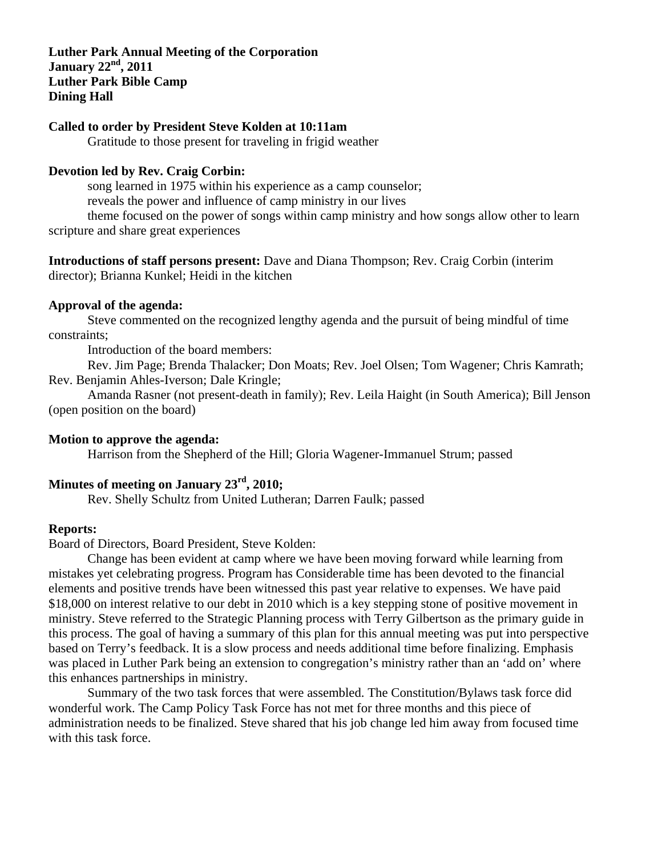**Luther Park Annual Meeting of the Corporation**  January 22<sup>nd</sup>, 2011 **Luther Park Bible Camp Dining Hall** 

#### **Called to order by President Steve Kolden at 10:11am**

Gratitude to those present for traveling in frigid weather

#### **Devotion led by Rev. Craig Corbin:**

song learned in 1975 within his experience as a camp counselor; reveals the power and influence of camp ministry in our lives

theme focused on the power of songs within camp ministry and how songs allow other to learn scripture and share great experiences

**Introductions of staff persons present:** Dave and Diana Thompson; Rev. Craig Corbin (interim director); Brianna Kunkel; Heidi in the kitchen

#### **Approval of the agenda:**

 Steve commented on the recognized lengthy agenda and the pursuit of being mindful of time constraints;

Introduction of the board members:

 Rev. Jim Page; Brenda Thalacker; Don Moats; Rev. Joel Olsen; Tom Wagener; Chris Kamrath; Rev. Benjamin Ahles-Iverson; Dale Kringle;

 Amanda Rasner (not present-death in family); Rev. Leila Haight (in South America); Bill Jenson (open position on the board)

### **Motion to approve the agenda:**

Harrison from the Shepherd of the Hill; Gloria Wagener-Immanuel Strum; passed

# **Minutes of meeting on January 23rd, 2010;**

Rev. Shelly Schultz from United Lutheran; Darren Faulk; passed

#### **Reports:**

Board of Directors, Board President, Steve Kolden:

 Change has been evident at camp where we have been moving forward while learning from mistakes yet celebrating progress. Program has Considerable time has been devoted to the financial elements and positive trends have been witnessed this past year relative to expenses. We have paid \$18,000 on interest relative to our debt in 2010 which is a key stepping stone of positive movement in ministry. Steve referred to the Strategic Planning process with Terry Gilbertson as the primary guide in this process. The goal of having a summary of this plan for this annual meeting was put into perspective based on Terry's feedback. It is a slow process and needs additional time before finalizing. Emphasis was placed in Luther Park being an extension to congregation's ministry rather than an 'add on' where this enhances partnerships in ministry.

 Summary of the two task forces that were assembled. The Constitution/Bylaws task force did wonderful work. The Camp Policy Task Force has not met for three months and this piece of administration needs to be finalized. Steve shared that his job change led him away from focused time with this task force.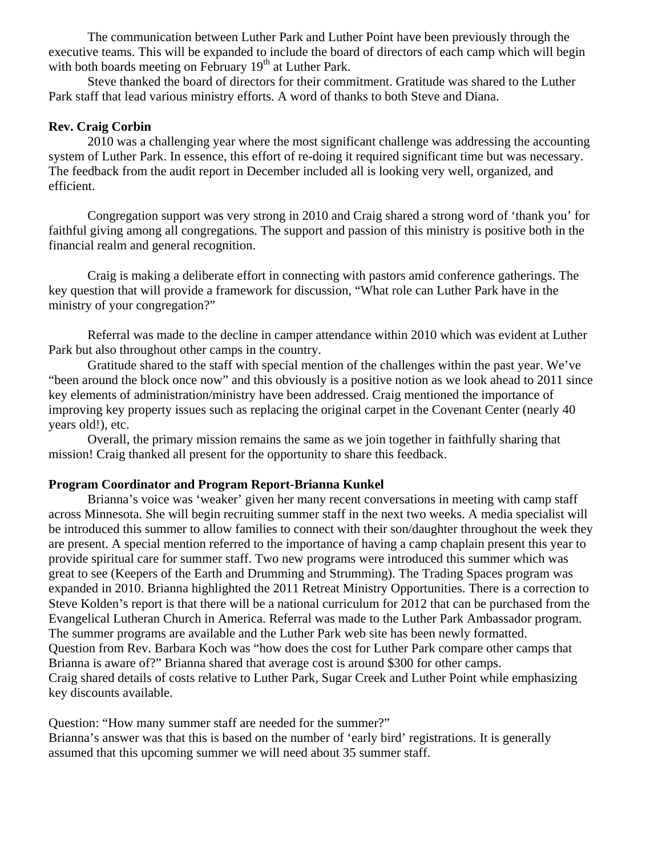The communication between Luther Park and Luther Point have been previously through the executive teams. This will be expanded to include the board of directors of each camp which will begin with both boards meeting on February 19<sup>th</sup> at Luther Park.

 Steve thanked the board of directors for their commitment. Gratitude was shared to the Luther Park staff that lead various ministry efforts. A word of thanks to both Steve and Diana.

### **Rev. Craig Corbin**

 2010 was a challenging year where the most significant challenge was addressing the accounting system of Luther Park. In essence, this effort of re-doing it required significant time but was necessary. The feedback from the audit report in December included all is looking very well, organized, and efficient.

 Congregation support was very strong in 2010 and Craig shared a strong word of 'thank you' for faithful giving among all congregations. The support and passion of this ministry is positive both in the financial realm and general recognition.

 Craig is making a deliberate effort in connecting with pastors amid conference gatherings. The key question that will provide a framework for discussion, "What role can Luther Park have in the ministry of your congregation?"

 Referral was made to the decline in camper attendance within 2010 which was evident at Luther Park but also throughout other camps in the country.

 Gratitude shared to the staff with special mention of the challenges within the past year. We've "been around the block once now" and this obviously is a positive notion as we look ahead to 2011 since key elements of administration/ministry have been addressed. Craig mentioned the importance of improving key property issues such as replacing the original carpet in the Covenant Center (nearly 40 years old!), etc.

 Overall, the primary mission remains the same as we join together in faithfully sharing that mission! Craig thanked all present for the opportunity to share this feedback.

### **Program Coordinator and Program Report-Brianna Kunkel**

 Brianna's voice was 'weaker' given her many recent conversations in meeting with camp staff across Minnesota. She will begin recruiting summer staff in the next two weeks. A media specialist will be introduced this summer to allow families to connect with their son/daughter throughout the week they are present. A special mention referred to the importance of having a camp chaplain present this year to provide spiritual care for summer staff. Two new programs were introduced this summer which was great to see (Keepers of the Earth and Drumming and Strumming). The Trading Spaces program was expanded in 2010. Brianna highlighted the 2011 Retreat Ministry Opportunities. There is a correction to Steve Kolden's report is that there will be a national curriculum for 2012 that can be purchased from the Evangelical Lutheran Church in America. Referral was made to the Luther Park Ambassador program. The summer programs are available and the Luther Park web site has been newly formatted. Question from Rev. Barbara Koch was "how does the cost for Luther Park compare other camps that Brianna is aware of?" Brianna shared that average cost is around \$300 for other camps. Craig shared details of costs relative to Luther Park, Sugar Creek and Luther Point while emphasizing key discounts available.

Question: "How many summer staff are needed for the summer?"

Brianna's answer was that this is based on the number of 'early bird' registrations. It is generally assumed that this upcoming summer we will need about 35 summer staff.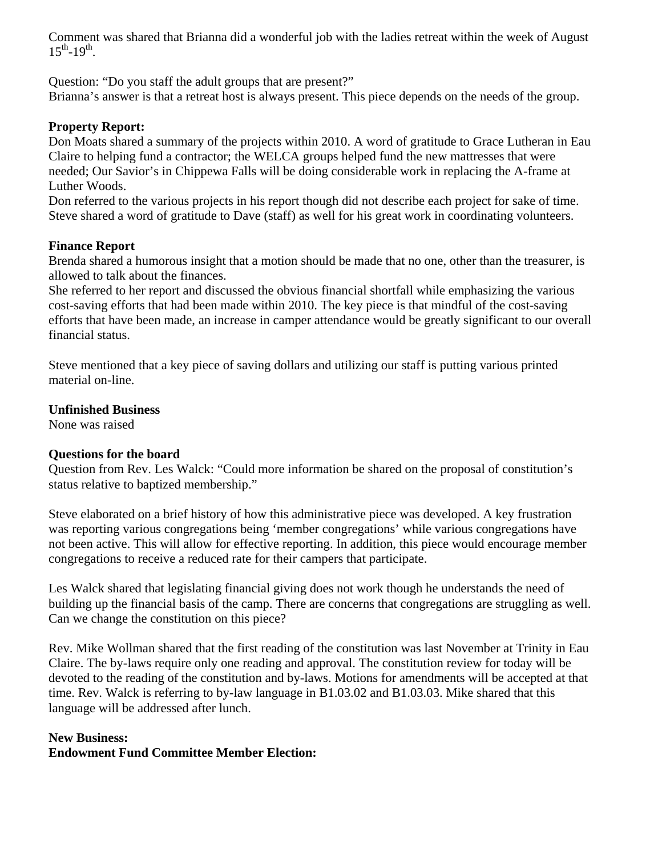Comment was shared that Brianna did a wonderful job with the ladies retreat within the week of August  $15^{th} - 19^{th}$ .

Question: "Do you staff the adult groups that are present?"

Brianna's answer is that a retreat host is always present. This piece depends on the needs of the group.

# **Property Report:**

Don Moats shared a summary of the projects within 2010. A word of gratitude to Grace Lutheran in Eau Claire to helping fund a contractor; the WELCA groups helped fund the new mattresses that were needed; Our Savior's in Chippewa Falls will be doing considerable work in replacing the A-frame at Luther Woods.

Don referred to the various projects in his report though did not describe each project for sake of time. Steve shared a word of gratitude to Dave (staff) as well for his great work in coordinating volunteers.

# **Finance Report**

Brenda shared a humorous insight that a motion should be made that no one, other than the treasurer, is allowed to talk about the finances.

She referred to her report and discussed the obvious financial shortfall while emphasizing the various cost-saving efforts that had been made within 2010. The key piece is that mindful of the cost-saving efforts that have been made, an increase in camper attendance would be greatly significant to our overall financial status.

Steve mentioned that a key piece of saving dollars and utilizing our staff is putting various printed material on-line.

# **Unfinished Business**

None was raised

# **Questions for the board**

Question from Rev. Les Walck: "Could more information be shared on the proposal of constitution's status relative to baptized membership."

Steve elaborated on a brief history of how this administrative piece was developed. A key frustration was reporting various congregations being 'member congregations' while various congregations have not been active. This will allow for effective reporting. In addition, this piece would encourage member congregations to receive a reduced rate for their campers that participate.

Les Walck shared that legislating financial giving does not work though he understands the need of building up the financial basis of the camp. There are concerns that congregations are struggling as well. Can we change the constitution on this piece?

Rev. Mike Wollman shared that the first reading of the constitution was last November at Trinity in Eau Claire. The by-laws require only one reading and approval. The constitution review for today will be devoted to the reading of the constitution and by-laws. Motions for amendments will be accepted at that time. Rev. Walck is referring to by-law language in B1.03.02 and B1.03.03. Mike shared that this language will be addressed after lunch.

#### **New Business: Endowment Fund Committee Member Election:**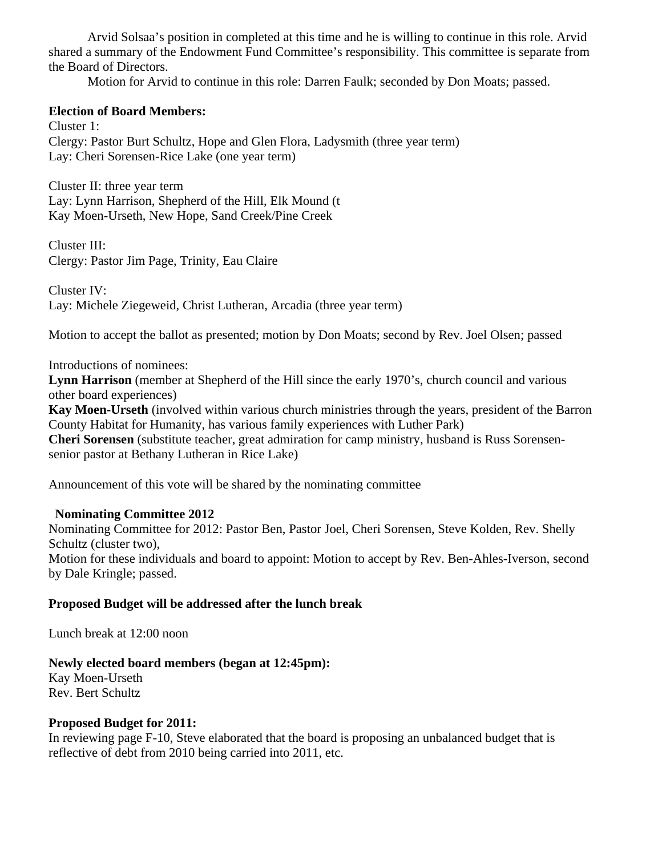Arvid Solsaa's position in completed at this time and he is willing to continue in this role. Arvid shared a summary of the Endowment Fund Committee's responsibility. This committee is separate from the Board of Directors.

Motion for Arvid to continue in this role: Darren Faulk; seconded by Don Moats; passed.

### **Election of Board Members:**

Cluster 1: Clergy: Pastor Burt Schultz, Hope and Glen Flora, Ladysmith (three year term) Lay: Cheri Sorensen-Rice Lake (one year term)

Cluster II: three year term Lay: Lynn Harrison, Shepherd of the Hill, Elk Mound (t Kay Moen-Urseth, New Hope, Sand Creek/Pine Creek

Cluster III: Clergy: Pastor Jim Page, Trinity, Eau Claire

Cluster IV: Lay: Michele Ziegeweid, Christ Lutheran, Arcadia (three year term)

Motion to accept the ballot as presented; motion by Don Moats; second by Rev. Joel Olsen; passed

Introductions of nominees:

**Lynn Harrison** (member at Shepherd of the Hill since the early 1970's, church council and various other board experiences)

**Kay Moen-Urseth** (involved within various church ministries through the years, president of the Barron County Habitat for Humanity, has various family experiences with Luther Park)

**Cheri Sorensen** (substitute teacher, great admiration for camp ministry, husband is Russ Sorensensenior pastor at Bethany Lutheran in Rice Lake)

Announcement of this vote will be shared by the nominating committee

# **Nominating Committee 2012**

Nominating Committee for 2012: Pastor Ben, Pastor Joel, Cheri Sorensen, Steve Kolden, Rev. Shelly Schultz (cluster two),

Motion for these individuals and board to appoint: Motion to accept by Rev. Ben-Ahles-Iverson, second by Dale Kringle; passed.

# **Proposed Budget will be addressed after the lunch break**

Lunch break at 12:00 noon

# **Newly elected board members (began at 12:45pm):**

Kay Moen-Urseth Rev. Bert Schultz

# **Proposed Budget for 2011:**

In reviewing page F-10, Steve elaborated that the board is proposing an unbalanced budget that is reflective of debt from 2010 being carried into 2011, etc.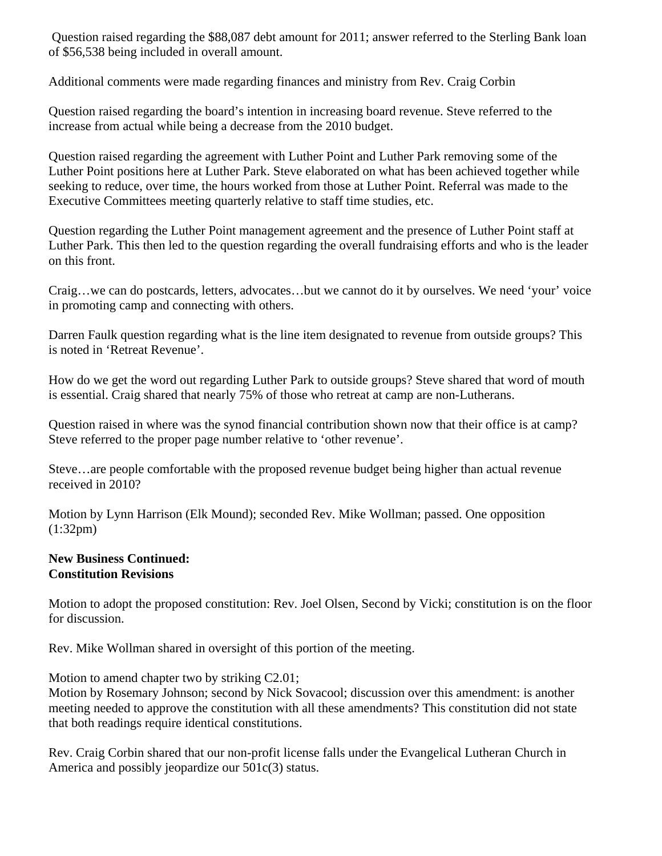Question raised regarding the \$88,087 debt amount for 2011; answer referred to the Sterling Bank loan of \$56,538 being included in overall amount.

Additional comments were made regarding finances and ministry from Rev. Craig Corbin

Question raised regarding the board's intention in increasing board revenue. Steve referred to the increase from actual while being a decrease from the 2010 budget.

Question raised regarding the agreement with Luther Point and Luther Park removing some of the Luther Point positions here at Luther Park. Steve elaborated on what has been achieved together while seeking to reduce, over time, the hours worked from those at Luther Point. Referral was made to the Executive Committees meeting quarterly relative to staff time studies, etc.

Question regarding the Luther Point management agreement and the presence of Luther Point staff at Luther Park. This then led to the question regarding the overall fundraising efforts and who is the leader on this front.

Craig…we can do postcards, letters, advocates…but we cannot do it by ourselves. We need 'your' voice in promoting camp and connecting with others.

Darren Faulk question regarding what is the line item designated to revenue from outside groups? This is noted in 'Retreat Revenue'.

How do we get the word out regarding Luther Park to outside groups? Steve shared that word of mouth is essential. Craig shared that nearly 75% of those who retreat at camp are non-Lutherans.

Question raised in where was the synod financial contribution shown now that their office is at camp? Steve referred to the proper page number relative to 'other revenue'.

Steve…are people comfortable with the proposed revenue budget being higher than actual revenue received in 2010?

Motion by Lynn Harrison (Elk Mound); seconded Rev. Mike Wollman; passed. One opposition (1:32pm)

### **New Business Continued: Constitution Revisions**

Motion to adopt the proposed constitution: Rev. Joel Olsen, Second by Vicki; constitution is on the floor for discussion.

Rev. Mike Wollman shared in oversight of this portion of the meeting.

Motion to amend chapter two by striking C2.01;

Motion by Rosemary Johnson; second by Nick Sovacool; discussion over this amendment: is another meeting needed to approve the constitution with all these amendments? This constitution did not state that both readings require identical constitutions.

Rev. Craig Corbin shared that our non-profit license falls under the Evangelical Lutheran Church in America and possibly jeopardize our 501c(3) status.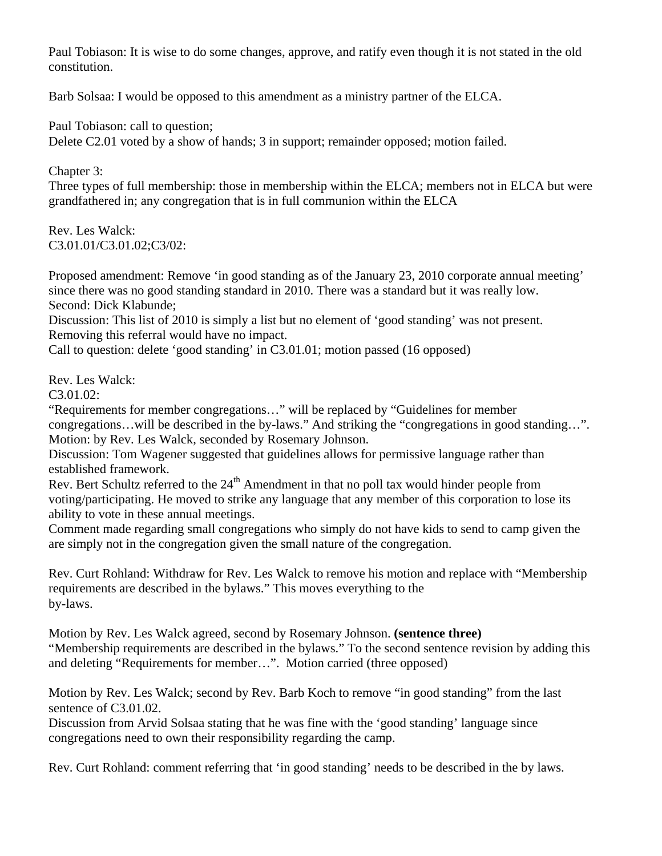Paul Tobiason: It is wise to do some changes, approve, and ratify even though it is not stated in the old constitution.

Barb Solsaa: I would be opposed to this amendment as a ministry partner of the ELCA.

Paul Tobiason: call to question; Delete C2.01 voted by a show of hands; 3 in support; remainder opposed; motion failed.

Chapter 3:

Three types of full membership: those in membership within the ELCA; members not in ELCA but were grandfathered in; any congregation that is in full communion within the ELCA

Rev. Les Walck: C3.01.01/C3.01.02;C3/02:

Proposed amendment: Remove 'in good standing as of the January 23, 2010 corporate annual meeting' since there was no good standing standard in 2010. There was a standard but it was really low. Second: Dick Klabunde;

Discussion: This list of 2010 is simply a list but no element of 'good standing' was not present. Removing this referral would have no impact.

Call to question: delete 'good standing' in C3.01.01; motion passed (16 opposed)

Rev. Les Walck:

 $C3.01.02:$ 

"Requirements for member congregations…" will be replaced by "Guidelines for member congregations…will be described in the by-laws." And striking the "congregations in good standing…". Motion: by Rev. Les Walck, seconded by Rosemary Johnson.

Discussion: Tom Wagener suggested that guidelines allows for permissive language rather than established framework.

Rev. Bert Schultz referred to the 24<sup>th</sup> Amendment in that no poll tax would hinder people from voting/participating. He moved to strike any language that any member of this corporation to lose its ability to vote in these annual meetings.

Comment made regarding small congregations who simply do not have kids to send to camp given the are simply not in the congregation given the small nature of the congregation.

Rev. Curt Rohland: Withdraw for Rev. Les Walck to remove his motion and replace with "Membership requirements are described in the bylaws." This moves everything to the by-laws.

Motion by Rev. Les Walck agreed, second by Rosemary Johnson. **(sentence three)** "Membership requirements are described in the bylaws." To the second sentence revision by adding this and deleting "Requirements for member…". Motion carried (three opposed)

Motion by Rev. Les Walck; second by Rev. Barb Koch to remove "in good standing" from the last sentence of C3.01.02.

Discussion from Arvid Solsaa stating that he was fine with the 'good standing' language since congregations need to own their responsibility regarding the camp.

Rev. Curt Rohland: comment referring that 'in good standing' needs to be described in the by laws.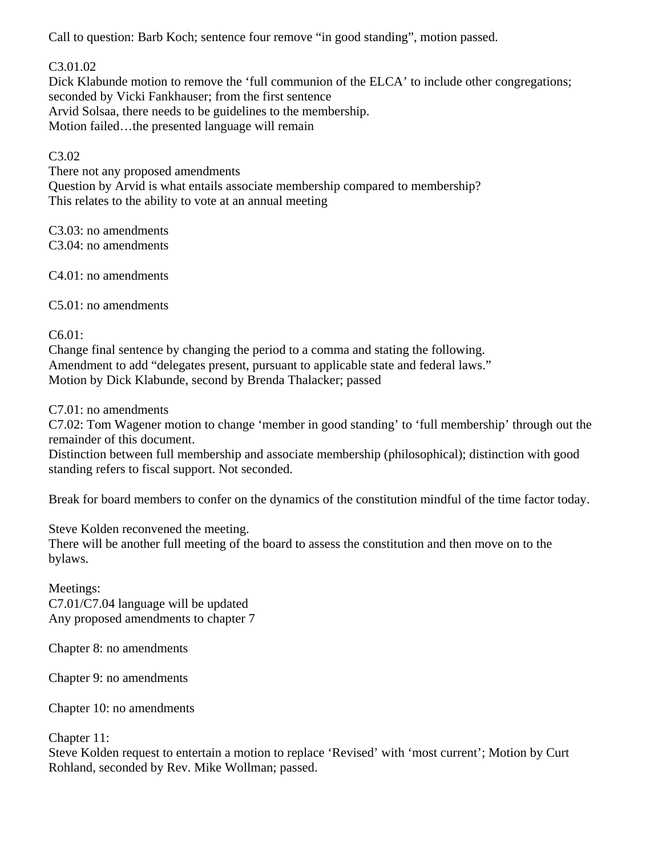Call to question: Barb Koch; sentence four remove "in good standing", motion passed.

C3.01.02

Dick Klabunde motion to remove the 'full communion of the ELCA' to include other congregations; seconded by Vicki Fankhauser; from the first sentence Arvid Solsaa, there needs to be guidelines to the membership. Motion failed…the presented language will remain

# C3.02

There not any proposed amendments Question by Arvid is what entails associate membership compared to membership? This relates to the ability to vote at an annual meeting

C3.03: no amendments C3.04: no amendments

C4.01: no amendments

C5.01: no amendments

C6.01:

Change final sentence by changing the period to a comma and stating the following. Amendment to add "delegates present, pursuant to applicable state and federal laws." Motion by Dick Klabunde, second by Brenda Thalacker; passed

C7.01: no amendments

C7.02: Tom Wagener motion to change 'member in good standing' to 'full membership' through out the remainder of this document.

Distinction between full membership and associate membership (philosophical); distinction with good standing refers to fiscal support. Not seconded.

Break for board members to confer on the dynamics of the constitution mindful of the time factor today.

Steve Kolden reconvened the meeting.

There will be another full meeting of the board to assess the constitution and then move on to the bylaws.

Meetings: C7.01/C7.04 language will be updated Any proposed amendments to chapter 7

Chapter 8: no amendments

Chapter 9: no amendments

Chapter 10: no amendments

Chapter 11:

Steve Kolden request to entertain a motion to replace 'Revised' with 'most current'; Motion by Curt Rohland, seconded by Rev. Mike Wollman; passed.